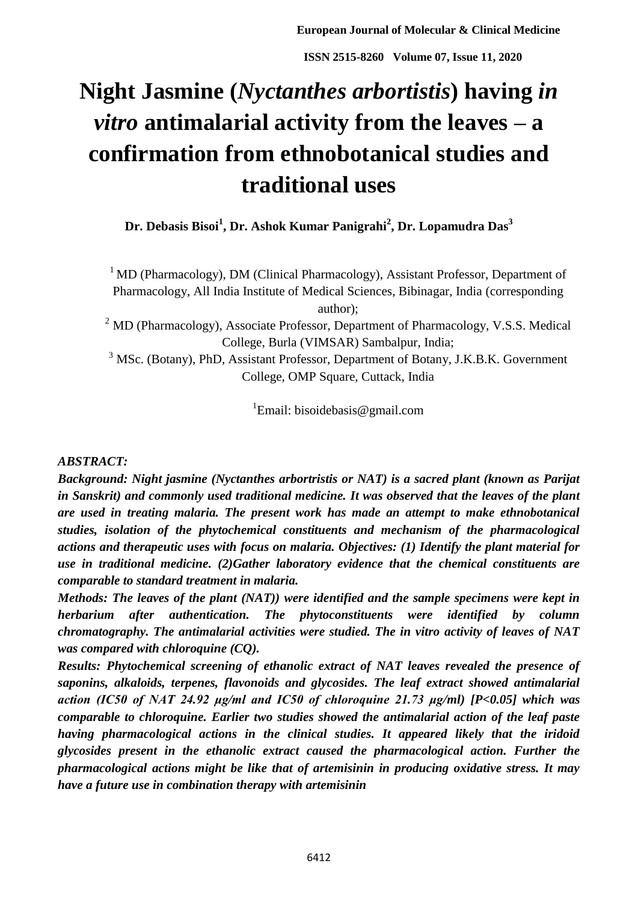# **Night Jasmine (***Nyctanthes arbortistis***) having** *in vitro* **antimalarial activity from the leaves – a confirmation from ethnobotanical studies and traditional uses**

**Dr. Debasis Bisoi<sup>1</sup> , Dr. Ashok Kumar Panigrahi<sup>2</sup> , Dr. Lopamudra Das<sup>3</sup>**

 $1$ MD (Pharmacology), DM (Clinical Pharmacology), Assistant Professor, Department of Pharmacology, All India Institute of Medical Sciences, Bibinagar, India (corresponding author);

<sup>2</sup> MD (Pharmacology), Associate Professor, Department of Pharmacology, V.S.S. Medical College, Burla (VIMSAR) Sambalpur, India;

<sup>3</sup> MSc. (Botany), PhD, Assistant Professor, Department of Botany, J.K.B.K. Government College, OMP Square, Cuttack, India

<sup>1</sup>Email: bisoidebasis@gmail.com

# *ABSTRACT:*

*Background: Night jasmine (Nyctanthes arbortristis or NAT) is a sacred plant (known as Parijat in Sanskrit) and commonly used traditional medicine. It was observed that the leaves of the plant are used in treating malaria. The present work has made an attempt to make ethnobotanical studies, isolation of the phytochemical constituents and mechanism of the pharmacological actions and therapeutic uses with focus on malaria. Objectives: (1) Identify the plant material for use in traditional medicine. (2)Gather laboratory evidence that the chemical constituents are comparable to standard treatment in malaria.*

*Methods: The leaves of the plant (NAT)) were identified and the sample specimens were kept in herbarium after authentication. The phytoconstituents were identified by column chromatography. The antimalarial activities were studied. The in vitro activity of leaves of NAT was compared with chloroquine (CQ).*

*Results: Phytochemical screening of ethanolic extract of NAT leaves revealed the presence of saponins, alkaloids, terpenes, flavonoids and glycosides. The leaf extract showed antimalarial action (IC50 of NAT 24.92 μg/ml and IC50 of chloroquine 21.73 μg/ml) [P<0.05] which was comparable to chloroquine. Earlier two studies showed the antimalarial action of the leaf paste having pharmacological actions in the clinical studies. It appeared likely that the iridoid glycosides present in the ethanolic extract caused the pharmacological action. Further the pharmacological actions might be like that of artemisinin in producing oxidative stress. It may have a future use in combination therapy with artemisinin*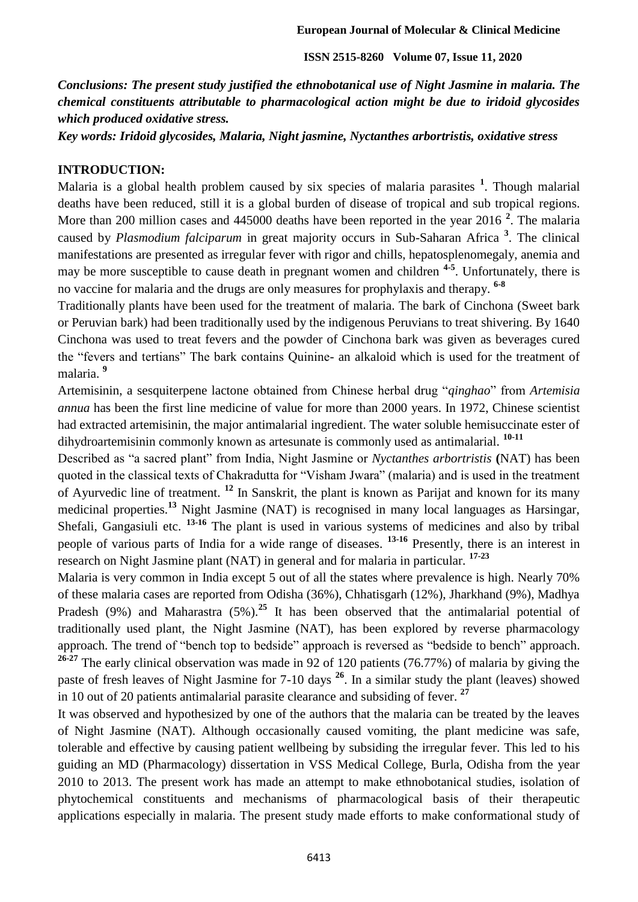*Conclusions: The present study justified the ethnobotanical use of Night Jasmine in malaria. The chemical constituents attributable to pharmacological action might be due to iridoid glycosides which produced oxidative stress.*

*Key words: Iridoid glycosides, Malaria, Night jasmine, Nyctanthes arbortristis, oxidative stress*

#### **INTRODUCTION:**

Malaria is a global health problem caused by six species of malaria parasites **<sup>1</sup>** . Though malarial deaths have been reduced, still it is a global burden of disease of tropical and sub tropical regions. More than 200 million cases and 445000 deaths have been reported in the year 2016 **<sup>2</sup>** . The malaria caused by *Plasmodium falciparum* in great majority occurs in Sub-Saharan Africa **<sup>3</sup>** . The clinical manifestations are presented as irregular fever with rigor and chills, hepatosplenomegaly, anemia and may be more susceptible to cause death in pregnant women and children **4-5** . Unfortunately, there is no vaccine for malaria and the drugs are only measures for prophylaxis and therapy. **6-8**

Traditionally plants have been used for the treatment of malaria. The bark of Cinchona (Sweet bark or Peruvian bark) had been traditionally used by the indigenous Peruvians to treat shivering. By 1640 Cinchona was used to treat fevers and the powder of Cinchona bark was given as beverages cured the "fevers and tertians" The bark contains Quinine- an alkaloid which is used for the treatment of malaria. **<sup>9</sup>**

Artemisinin, a sesquiterpene lactone obtained from Chinese herbal drug "*qinghao*" from *Artemisia annua* has been the first line medicine of value for more than 2000 years. In 1972, Chinese scientist had extracted artemisinin, the major antimalarial ingredient. The water soluble hemisuccinate ester of dihydroartemisinin commonly known as artesunate is commonly used as antimalarial. **10-11**

Described as "a sacred plant" from India, Night Jasmine or *Nyctanthes arbortristis* **(**NAT) has been quoted in the classical texts of Chakradutta for "Visham Jwara" (malaria) and is used in the treatment of Ayurvedic line of treatment. **<sup>12</sup>** In Sanskrit, the plant is known as Parijat and known for its many medicinal properties.**<sup>13</sup>** Night Jasmine (NAT) is recognised in many local languages as Harsingar, Shefali, Gangasiuli etc. **13-16** The plant is used in various systems of medicines and also by tribal people of various parts of India for a wide range of diseases. **13-16** Presently, there is an interest in research on Night Jasmine plant (NAT) in general and for malaria in particular. **17-23**

Malaria is very common in India except 5 out of all the states where prevalence is high. Nearly 70% of these malaria cases are reported from Odisha (36%), Chhatisgarh (12%), Jharkhand (9%), Madhya Pradesh (9%) and Maharastra (5%).**<sup>25</sup>** It has been observed that the antimalarial potential of traditionally used plant, the Night Jasmine (NAT), has been explored by reverse pharmacology approach. The trend of "bench top to bedside" approach is reversed as "bedside to bench" approach. <sup>26-27</sup> The early clinical observation was made in 92 of 120 patients (76.77%) of malaria by giving the paste of fresh leaves of Night Jasmine for 7-10 days **<sup>26</sup>**. In a similar study the plant (leaves) showed in 10 out of 20 patients antimalarial parasite clearance and subsiding of fever. **<sup>27</sup>**

It was observed and hypothesized by one of the authors that the malaria can be treated by the leaves of Night Jasmine (NAT). Although occasionally caused vomiting, the plant medicine was safe, tolerable and effective by causing patient wellbeing by subsiding the irregular fever. This led to his guiding an MD (Pharmacology) dissertation in VSS Medical College, Burla, Odisha from the year 2010 to 2013. The present work has made an attempt to make ethnobotanical studies, isolation of phytochemical constituents and mechanisms of pharmacological basis of their therapeutic applications especially in malaria. The present study made efforts to make conformational study of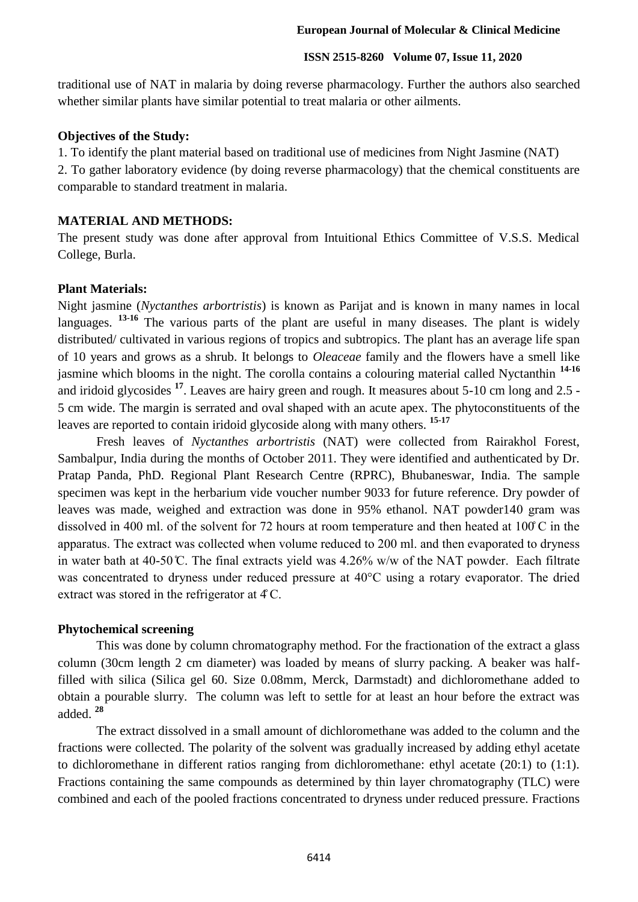traditional use of NAT in malaria by doing reverse pharmacology. Further the authors also searched whether similar plants have similar potential to treat malaria or other ailments.

#### **Objectives of the Study:**

1. To identify the plant material based on traditional use of medicines from Night Jasmine (NAT)

2. To gather laboratory evidence (by doing reverse pharmacology) that the chemical constituents are comparable to standard treatment in malaria.

## **MATERIAL AND METHODS:**

The present study was done after approval from Intuitional Ethics Committee of V.S.S. Medical College, Burla.

#### **Plant Materials:**

Night jasmine (*Nyctanthes arbortristis*) is known as Parijat and is known in many names in local languages. <sup>13-16</sup> The various parts of the plant are useful in many diseases. The plant is widely distributed/ cultivated in various regions of tropics and subtropics. The plant has an average life span of 10 years and grows as a shrub. It belongs to *Oleaceae* family and the flowers have a smell like jasmine which blooms in the night. The corolla contains a colouring material called Nyctanthin **14-16** and iridoid glycosides **<sup>17</sup>**. Leaves are hairy green and rough. It measures about 5-10 cm long and 2.5 - 5 cm wide. The margin is serrated and oval shaped with an acute apex. The phytoconstituents of the leaves are reported to contain iridoid glycoside along with many others. **15-17**

Fresh leaves of *Nyctanthes arbortristis* (NAT) were collected from Rairakhol Forest, Sambalpur, India during the months of October 2011. They were identified and authenticated by Dr. Pratap Panda, PhD. Regional Plant Research Centre (RPRC), Bhubaneswar, India. The sample specimen was kept in the herbarium vide voucher number 9033 for future reference. Dry powder of leaves was made, weighed and extraction was done in 95% ethanol. NAT powder140 gram was dissolved in 400 ml, of the solvent for 72 hours at room temperature and then heated at  $100^{\circ}$ C in the apparatus. The extract was collected when volume reduced to 200 ml. and then evaporated to dryness in water bath at  $40-50$  °C. The final extracts yield was  $4.26\%$  w/w of the NAT powder. Each filtrate was concentrated to dryness under reduced pressure at  $40^{\circ}$ C using a rotary evaporator. The dried extract was stored in the refrigerator at  $4^\circ$ C.

#### **Phytochemical screening**

This was done by column chromatography method. For the fractionation of the extract a glass column (30cm length 2 cm diameter) was loaded by means of slurry packing. A beaker was halffilled with silica (Silica gel 60. Size 0.08mm, Merck, Darmstadt) and dichloromethane added to obtain a pourable slurry. The column was left to settle for at least an hour before the extract was added. **<sup>28</sup>**

The extract dissolved in a small amount of dichloromethane was added to the column and the fractions were collected. The polarity of the solvent was gradually increased by adding ethyl acetate to dichloromethane in different ratios ranging from dichloromethane: ethyl acetate (20:1) to (1:1). Fractions containing the same compounds as determined by thin layer chromatography (TLC) were combined and each of the pooled fractions concentrated to dryness under reduced pressure. Fractions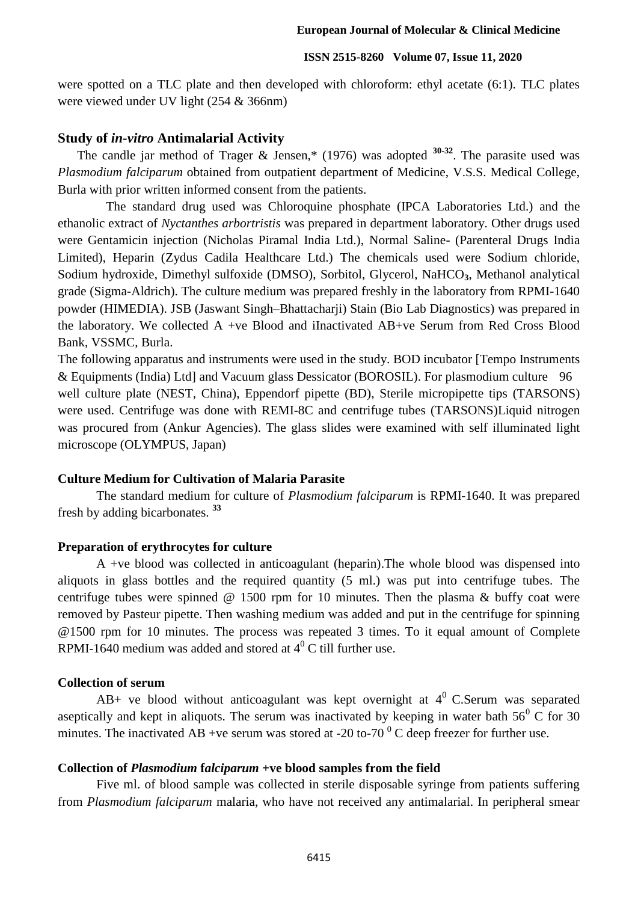were spotted on a TLC plate and then developed with chloroform: ethyl acetate (6:1). TLC plates were viewed under UV light (254 & 366nm)

## **Study of** *in-vitro* **Antimalarial Activity**

The candle jar method of Trager & Jensen,\* (1976) was adopted **30-32**. The parasite used was *Plasmodium falciparum* obtained from outpatient department of Medicine, V.S.S. Medical College, Burla with prior written informed consent from the patients.

The standard drug used was Chloroquine phosphate (IPCA Laboratories Ltd.) and the ethanolic extract of *Nyctanthes arbortristis* was prepared in department laboratory. Other drugs used were Gentamicin injection (Nicholas Piramal India Ltd.), Normal Saline- (Parenteral Drugs India Limited), Heparin (Zydus Cadila Healthcare Ltd.) The chemicals used were Sodium chloride, Sodium hydroxide, Dimethyl sulfoxide (DMSO), Sorbitol, Glycerol, NaHCO**3**, Methanol analytical grade (Sigma-Aldrich). The culture medium was prepared freshly in the laboratory from RPMI-1640 powder (HIMEDIA). JSB (Jaswant Singh–Bhattacharji) Stain (Bio Lab Diagnostics) was prepared in the laboratory. We collected A +ve Blood and iInactivated AB+ve Serum from Red Cross Blood Bank, VSSMC, Burla.

The following apparatus and instruments were used in the study. BOD incubator [Tempo Instruments & Equipments (India) Ltd] and Vacuum glass Dessicator (BOROSIL). For plasmodium culture 96 well culture plate (NEST, China), Eppendorf pipette (BD), Sterile micropipette tips (TARSONS) were used. Centrifuge was done with REMI-8C and centrifuge tubes (TARSONS)Liquid nitrogen was procured from (Ankur Agencies). The glass slides were examined with self illuminated light microscope (OLYMPUS, Japan)

#### **Culture Medium for Cultivation of Malaria Parasite**

The standard medium for culture of *Plasmodium falciparum* is RPMI-1640. It was prepared fresh by adding bicarbonates. **<sup>33</sup>**

#### **Preparation of erythrocytes for culture**

A +ve blood was collected in anticoagulant (heparin).The whole blood was dispensed into aliquots in glass bottles and the required quantity (5 ml.) was put into centrifuge tubes. The centrifuge tubes were spinned  $\omega$  1500 rpm for 10 minutes. Then the plasma  $\&$  buffy coat were removed by Pasteur pipette. Then washing medium was added and put in the centrifuge for spinning @1500 rpm for 10 minutes. The process was repeated 3 times. To it equal amount of Complete RPMI-1640 medium was added and stored at  $4^{\rm o}$  C till further use.

#### **Collection of serum**

AB+ ve blood without anticoagulant was kept overnight at  $4^0$  C.Serum was separated aseptically and kept in aliquots. The serum was inactivated by keeping in water bath  $56^{\circ}$  C for 30 minutes. The inactivated AB +ve serum was stored at -20 to-70  $^{0}$  C deep freezer for further use.

## **Collection of** *Plasmodium* **f***alciparum* **+ve blood samples from the field**

Five ml. of blood sample was collected in sterile disposable syringe from patients suffering from *Plasmodium falciparum* malaria, who have not received any antimalarial. In peripheral smear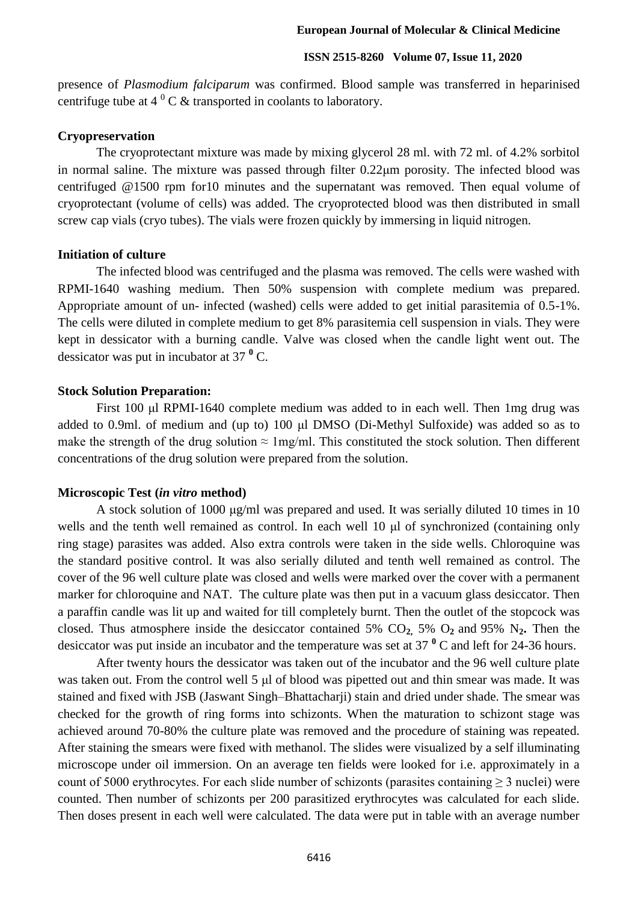presence of *Plasmodium falciparum* was confirmed. Blood sample was transferred in heparinised centrifuge tube at  $4^{\circ}$  C & transported in coolants to laboratory.

#### **Cryopreservation**

The cryoprotectant mixture was made by mixing glycerol 28 ml. with 72 ml. of 4.2% sorbitol in normal saline. The mixture was passed through filter 0.22μm porosity. The infected blood was centrifuged @1500 rpm for10 minutes and the supernatant was removed. Then equal volume of cryoprotectant (volume of cells) was added. The cryoprotected blood was then distributed in small screw cap vials (cryo tubes). The vials were frozen quickly by immersing in liquid nitrogen.

### **Initiation of culture**

The infected blood was centrifuged and the plasma was removed. The cells were washed with RPMI-1640 washing medium. Then 50% suspension with complete medium was prepared. Appropriate amount of un- infected (washed) cells were added to get initial parasitemia of 0.5-1%. The cells were diluted in complete medium to get 8% parasitemia cell suspension in vials. They were kept in dessicator with a burning candle. Valve was closed when the candle light went out. The dessicator was put in incubator at 37 **<sup>0</sup>** C.

#### **Stock Solution Preparation:**

First 100 μl RPMI-1640 complete medium was added to in each well. Then 1mg drug was added to 0.9ml. of medium and (up to) 100 μl DMSO (Di-Methyl Sulfoxide) was added so as to make the strength of the drug solution  $\approx 1$  mg/ml. This constituted the stock solution. Then different concentrations of the drug solution were prepared from the solution.

#### **Microscopic Test (***in vitro* **method)**

A stock solution of 1000 μg/ml was prepared and used. It was serially diluted 10 times in 10 wells and the tenth well remained as control. In each well 10 μl of synchronized (containing only ring stage) parasites was added. Also extra controls were taken in the side wells. Chloroquine was the standard positive control. It was also serially diluted and tenth well remained as control. The cover of the 96 well culture plate was closed and wells were marked over the cover with a permanent marker for chloroquine and NAT. The culture plate was then put in a vacuum glass desiccator. Then a paraffin candle was lit up and waited for till completely burnt. Then the outlet of the stopcock was closed. Thus atmosphere inside the desiccator contained 5% CO**2,** 5% O**2** and 95% N**2.** Then the desiccator was put inside an incubator and the temperature was set at 37 **<sup>0</sup>** C and left for 24-36 hours.

After twenty hours the dessicator was taken out of the incubator and the 96 well culture plate was taken out. From the control well 5 μl of blood was pipetted out and thin smear was made. It was stained and fixed with JSB (Jaswant Singh–Bhattacharji) stain and dried under shade. The smear was checked for the growth of ring forms into schizonts. When the maturation to schizont stage was achieved around 70-80% the culture plate was removed and the procedure of staining was repeated. After staining the smears were fixed with methanol. The slides were visualized by a self illuminating microscope under oil immersion. On an average ten fields were looked for i.e. approximately in a count of 5000 erythrocytes. For each slide number of schizonts (parasites containing  $\geq 3$  nuclei) were counted. Then number of schizonts per 200 parasitized erythrocytes was calculated for each slide. Then doses present in each well were calculated. The data were put in table with an average number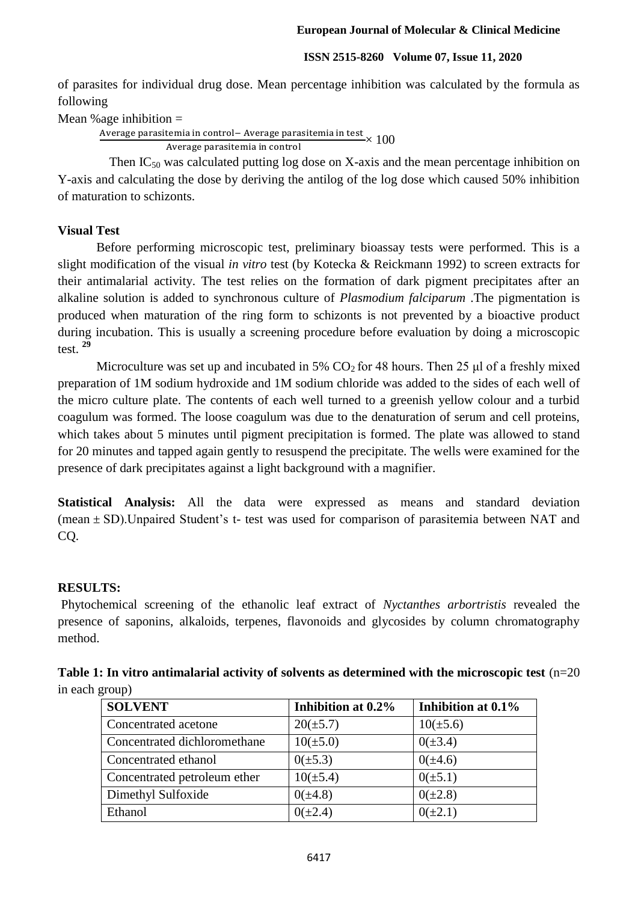of parasites for individual drug dose. Mean percentage inhibition was calculated by the formula as following

Mean % age inhibition  $=$ 

Average parasitemia in control– Average parasitemia in test $\times 100$ 

Then IC<sub>50</sub> was calculated putting log dose on X-axis and the mean percentage inhibition on Y-axis and calculating the dose by deriving the antilog of the log dose which caused 50% inhibition of maturation to schizonts.

# **Visual Test**

Before performing microscopic test, preliminary bioassay tests were performed. This is a slight modification of the visual *in vitro* test (by Kotecka & Reickmann 1992) to screen extracts for their antimalarial activity. The test relies on the formation of dark pigment precipitates after an alkaline solution is added to synchronous culture of *Plasmodium falciparum* .The pigmentation is produced when maturation of the ring form to schizonts is not prevented by a bioactive product during incubation. This is usually a screening procedure before evaluation by doing a microscopic test. **<sup>29</sup>**

Microculture was set up and incubated in 5%  $CO<sub>2</sub>$  for 48 hours. Then 25 µl of a freshly mixed preparation of 1M sodium hydroxide and 1M sodium chloride was added to the sides of each well of the micro culture plate. The contents of each well turned to a greenish yellow colour and a turbid coagulum was formed. The loose coagulum was due to the denaturation of serum and cell proteins, which takes about 5 minutes until pigment precipitation is formed. The plate was allowed to stand for 20 minutes and tapped again gently to resuspend the precipitate. The wells were examined for the presence of dark precipitates against a light background with a magnifier.

**Statistical Analysis:** All the data were expressed as means and standard deviation (mean  $\pm$  SD). Unpaired Student's t- test was used for comparison of parasitemia between NAT and CQ.

# **RESULTS:**

Phytochemical screening of the ethanolic leaf extract of *Nyctanthes arbortristis* revealed the presence of saponins, alkaloids, terpenes, flavonoids and glycosides by column chromatography method.

| Table 1: In vitro antimalarial activity of solvents as determined with the microscopic test $(n=20)$ |  |
|------------------------------------------------------------------------------------------------------|--|
| in each group)                                                                                       |  |

| <b>SOLVENT</b>               | Inhibition at 0.2% | Inhibition at 0.1% |
|------------------------------|--------------------|--------------------|
| Concentrated acetone         | $20(\pm 5.7)$      | $10(\pm 5.6)$      |
| Concentrated dichloromethane | $10(\pm 5.0)$      | $0(\pm 3.4)$       |
| Concentrated ethanol         | $0(\pm 5.3)$       | $0(\pm 4.6)$       |
| Concentrated petroleum ether | $10(\pm 5.4)$      | $0(\pm 5.1)$       |
| Dimethyl Sulfoxide           | $0(\pm 4.8)$       | $0(\pm 2.8)$       |
| Ethanol                      | $0(\pm 2.4)$       | $0(\pm 2.1)$       |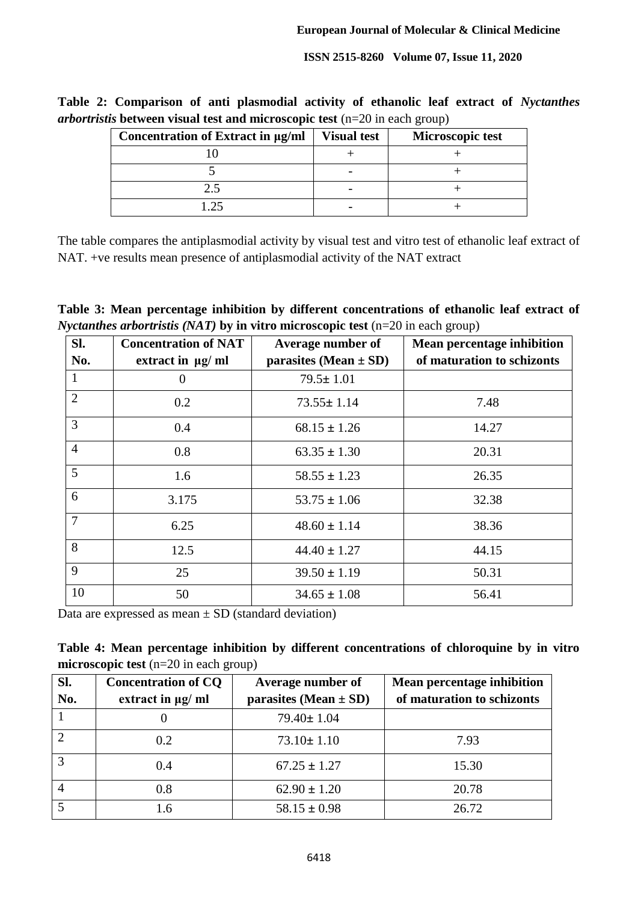**Table 2: Comparison of anti plasmodial activity of ethanolic leaf extract of** *Nyctanthes arbortristis* **between visual test and microscopic test** (n=20 in each group)

| Concentration of Extract in µg/ml | <b>Visual test</b> | Microscopic test |
|-----------------------------------|--------------------|------------------|
|                                   |                    |                  |
|                                   |                    |                  |
| 2.5                               |                    |                  |
|                                   |                    |                  |

The table compares the antiplasmodial activity by visual test and vitro test of ethanolic leaf extract of NAT. +ve results mean presence of antiplasmodial activity of the NAT extract

**Table 3: Mean percentage inhibition by different concentrations of ethanolic leaf extract of**  *Nyctanthes arbortristis (NAT)* by in vitro microscopic test (n=20 in each group)

| SI.            | <b>Concentration of NAT</b> | Average number of         | Mean percentage inhibition |
|----------------|-----------------------------|---------------------------|----------------------------|
| No.            | extract in $\mu$ g/ml       | parasites (Mean $\pm$ SD) | of maturation to schizonts |
| $\mathbf{1}$   | 0                           | $79.5 \pm 1.01$           |                            |
| $\overline{2}$ | 0.2                         | $73.55 \pm 1.14$          | 7.48                       |
| 3              | 0.4                         | $68.15 \pm 1.26$          | 14.27                      |
| $\overline{4}$ | 0.8                         | $63.35 \pm 1.30$          | 20.31                      |
| 5 <sup>5</sup> | 1.6                         | $58.55 \pm 1.23$          | 26.35                      |
| 6              | 3.175                       | $53.75 \pm 1.06$          | 32.38                      |
| $\overline{7}$ | 6.25                        | $48.60 \pm 1.14$          | 38.36                      |
| 8              | 12.5                        | $44.40 \pm 1.27$          | 44.15                      |
| 9              | 25                          | $39.50 \pm 1.19$          | 50.31                      |
| 10             | 50                          | $34.65 \pm 1.08$          | 56.41                      |

Data are expressed as mean  $\pm$  SD (standard deviation)

| Table 4: Mean percentage inhibition by different concentrations of chloroquine by in vitro |  |  |  |  |  |
|--------------------------------------------------------------------------------------------|--|--|--|--|--|
| microscopic test $(n=20 \text{ in each group})$                                            |  |  |  |  |  |

| Sl.        | <b>Concentration of CQ</b> | Average number of         | Mean percentage inhibition |
|------------|----------------------------|---------------------------|----------------------------|
| No.        | extract in $\mu$ g/ ml     | parasites (Mean $\pm$ SD) | of maturation to schizonts |
|            |                            | 79.40± 1.04               |                            |
| $\bigcirc$ | 0.2                        | $73.10 \pm 1.10$          | 7.93                       |
| 3          | 0.4                        | $67.25 \pm 1.27$          | 15.30                      |
|            | 0.8                        | $62.90 \pm 1.20$          | 20.78                      |
|            | 1.6                        | $58.15 \pm 0.98$          | 26.72                      |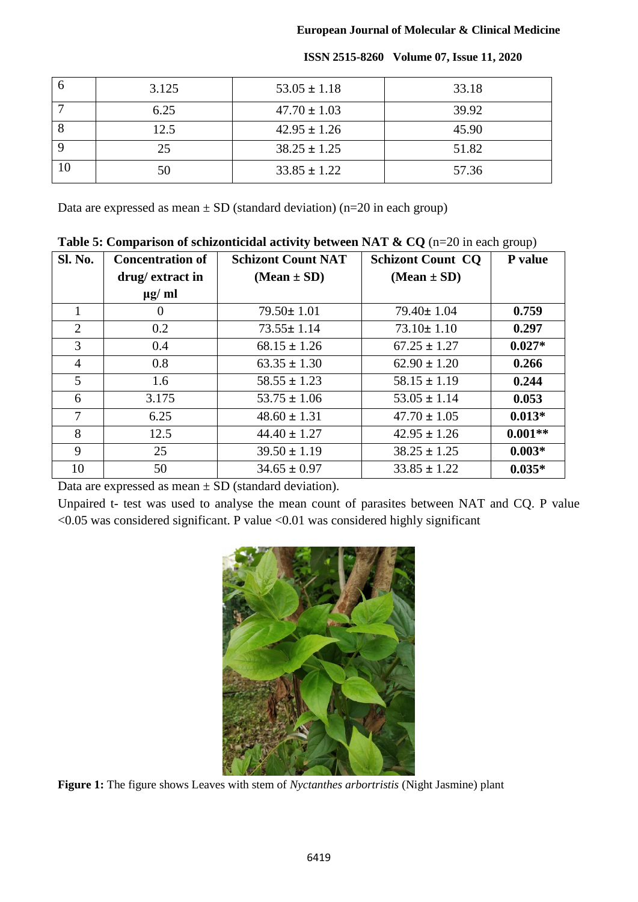| 3.125 | $53.05 \pm 1.18$ | 33.18 |
|-------|------------------|-------|
| 6.25  | $47.70 \pm 1.03$ | 39.92 |
| 12.5  | $42.95 \pm 1.26$ | 45.90 |
| 25    | $38.25 \pm 1.25$ | 51.82 |
| 50    | $33.85 \pm 1.22$ | 57.36 |

Data are expressed as mean  $\pm$  SD (standard deviation) (n=20 in each group)

**Table 5: Comparison of schizonticidal activity between NAT & CQ** (n=20 in each group)

| Sl. No.        | <b>Concentration of</b> | <b>Schizont Count NAT</b> | <b>Schizont Count CO</b> | P value   |
|----------------|-------------------------|---------------------------|--------------------------|-----------|
|                | drug/extract in         | $(Mean \pm SD)$           | $(Mean \pm SD)$          |           |
|                | $\mu$ g/ ml             |                           |                          |           |
|                | $\theta$                | $79.50 \pm 1.01$          | $79.40 \pm 1.04$         | 0.759     |
| $\overline{2}$ | 0.2                     | $73.55 \pm 1.14$          | $73.10 \pm 1.10$         | 0.297     |
| 3              | 0.4                     | $68.15 \pm 1.26$          | $67.25 \pm 1.27$         | $0.027*$  |
| $\overline{4}$ | 0.8                     | $63.35 \pm 1.30$          | $62.90 \pm 1.20$         | 0.266     |
| 5              | 1.6                     | $58.55 \pm 1.23$          | $58.15 \pm 1.19$         | 0.244     |
| 6              | 3.175                   | $53.75 \pm 1.06$          | $53.05 \pm 1.14$         | 0.053     |
| 7              | 6.25                    | $48.60 \pm 1.31$          | $47.70 \pm 1.05$         | $0.013*$  |
| 8              | 12.5                    | $44.40 \pm 1.27$          | $42.95 \pm 1.26$         | $0.001**$ |
| 9              | 25                      | $39.50 \pm 1.19$          | $38.25 \pm 1.25$         | $0.003*$  |
| 10             | 50                      | $34.65 \pm 0.97$          | $33.85 \pm 1.22$         | $0.035*$  |

Data are expressed as mean  $\pm$  SD (standard deviation).

Unpaired t- test was used to analyse the mean count of parasites between NAT and CQ. P value  $<$ 0.05 was considered significant. P value  $<$ 0.01 was considered highly significant



**Figure 1:** The figure shows Leaves with stem of *Nyctanthes arbortristis* (Night Jasmine) plant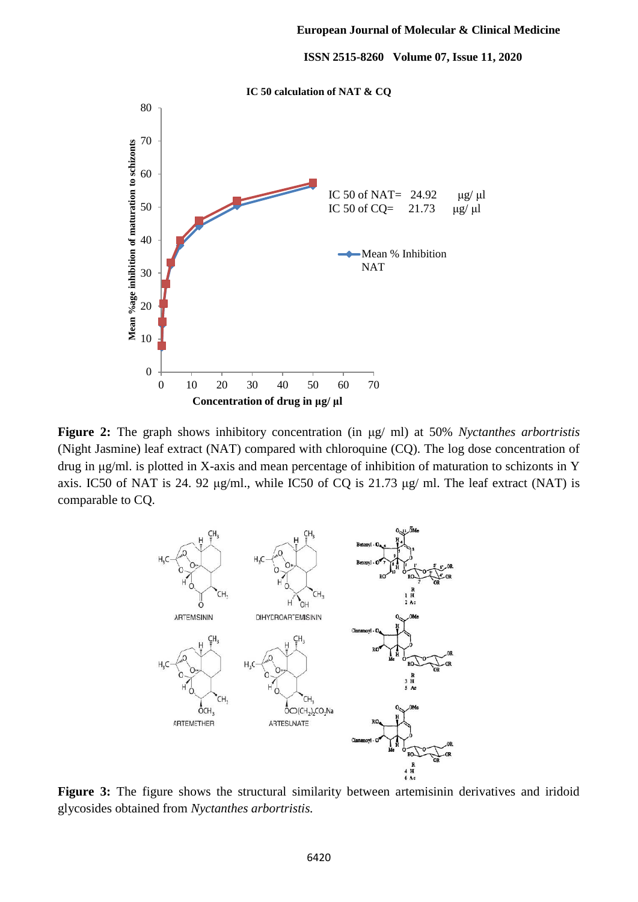

**Figure 2:** The graph shows inhibitory concentration (in μg/ ml) at 50% *Nyctanthes arbortristis* (Night Jasmine) leaf extract (NAT) compared with chloroquine (CQ). The log dose concentration of drug in μg/ml. is plotted in X-axis and mean percentage of inhibition of maturation to schizonts in Y axis. IC50 of NAT is 24. 92 μg/ml., while IC50 of CQ is 21.73 μg/ ml. The leaf extract (NAT) is comparable to CQ.



Figure 3: The figure shows the structural similarity between artemisinin derivatives and iridoid glycosides obtained from *Nyctanthes arbortristis.*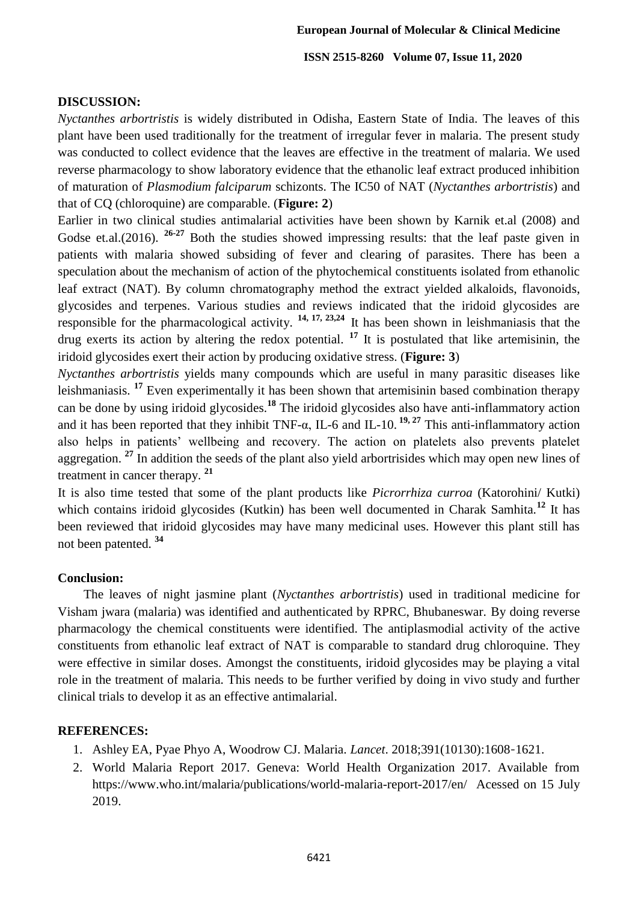## **DISCUSSION:**

*Nyctanthes arbortristis* is widely distributed in Odisha, Eastern State of India. The leaves of this plant have been used traditionally for the treatment of irregular fever in malaria. The present study was conducted to collect evidence that the leaves are effective in the treatment of malaria. We used reverse pharmacology to show laboratory evidence that the ethanolic leaf extract produced inhibition of maturation of *Plasmodium falciparum* schizonts. The IC50 of NAT (*Nyctanthes arbortristis*) and that of CQ (chloroquine) are comparable. (**Figure: 2**)

Earlier in two clinical studies antimalarial activities have been shown by Karnik et.al (2008) and Godse et.al.(2016). **26-27** Both the studies showed impressing results: that the leaf paste given in patients with malaria showed subsiding of fever and clearing of parasites. There has been a speculation about the mechanism of action of the phytochemical constituents isolated from ethanolic leaf extract (NAT). By column chromatography method the extract yielded alkaloids, flavonoids, glycosides and terpenes. Various studies and reviews indicated that the iridoid glycosides are responsible for the pharmacological activity. **14, 17, 23,24** It has been shown in leishmaniasis that the drug exerts its action by altering the redox potential. **<sup>17</sup>** It is postulated that like artemisinin, the iridoid glycosides exert their action by producing oxidative stress. (**Figure: 3**)

*Nyctanthes arbortristis* yields many compounds which are useful in many parasitic diseases like leishmaniasis. **<sup>17</sup>** Even experimentally it has been shown that artemisinin based combination therapy can be done by using iridoid glycosides.**<sup>18</sup>** The iridoid glycosides also have anti-inflammatory action and it has been reported that they inhibit TNF-α, IL-6 and IL-10. **19, 27** This anti-inflammatory action also helps in patients' wellbeing and recovery. The action on platelets also prevents platelet aggregation. **<sup>27</sup>** In addition the seeds of the plant also yield arbortrisides which may open new lines of treatment in cancer therapy. **<sup>21</sup>**

It is also time tested that some of the plant products like *Picrorrhiza curroa* (Katorohini/ Kutki) which contains iridoid glycosides (Kutkin) has been well documented in Charak Samhita.<sup>12</sup> It has been reviewed that iridoid glycosides may have many medicinal uses. However this plant still has not been patented. **<sup>34</sup>**

## **Conclusion:**

The leaves of night jasmine plant (*Nyctanthes arbortristis*) used in traditional medicine for Visham jwara (malaria) was identified and authenticated by RPRC, Bhubaneswar. By doing reverse pharmacology the chemical constituents were identified. The antiplasmodial activity of the active constituents from ethanolic leaf extract of NAT is comparable to standard drug chloroquine. They were effective in similar doses. Amongst the constituents, iridoid glycosides may be playing a vital role in the treatment of malaria. This needs to be further verified by doing in vivo study and further clinical trials to develop it as an effective antimalarial.

## **REFERENCES:**

- 1. Ashley EA, Pyae Phyo A, Woodrow CJ. Malaria. *Lancet*. 2018;391(10130):1608‐1621.
- 2. World Malaria Report 2017. Geneva: World Health Organization 2017. Available from https://www.who.int/malaria/publications/world-malaria-report-2017/en/ Acessed on 15 July 2019.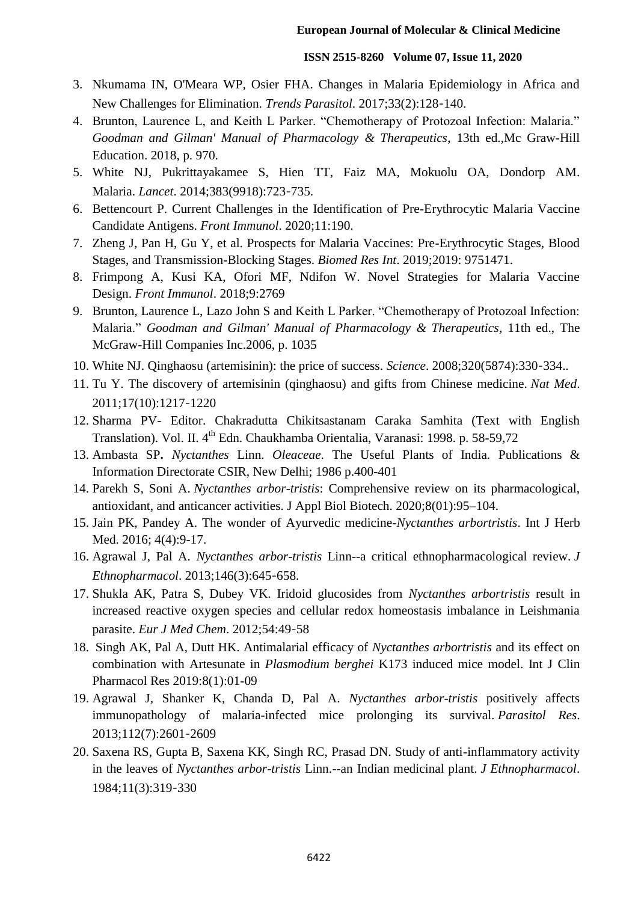- 3. Nkumama IN, O'Meara WP, Osier FHA. Changes in Malaria Epidemiology in Africa and New Challenges for Elimination. *Trends Parasitol*. 2017;33(2):128‐140.
- 4. Brunton, Laurence L, and Keith L Parker. "Chemotherapy of Protozoal Infection: Malaria." *Goodman and Gilman' Manual of Pharmacology & Therapeutics*, 13th ed.,Mc Graw-Hill Education. 2018, p. 970.
- 5. White NJ, Pukrittayakamee S, Hien TT, Faiz MA, Mokuolu OA, Dondorp AM. Malaria. *Lancet*. 2014;383(9918):723‐735.
- 6. Bettencourt P. Current Challenges in the Identification of Pre-Erythrocytic Malaria Vaccine Candidate Antigens. *Front Immunol*. 2020;11:190.
- 7. Zheng J, Pan H, Gu Y, et al. Prospects for Malaria Vaccines: Pre-Erythrocytic Stages, Blood Stages, and Transmission-Blocking Stages. *Biomed Res Int*. 2019;2019: 9751471.
- 8. Frimpong A, Kusi KA, Ofori MF, Ndifon W. Novel Strategies for Malaria Vaccine Design. *Front Immunol*. 2018;9:2769
- 9. Brunton, Laurence L, Lazo John S and Keith L Parker. "Chemotherapy of Protozoal Infection: Malaria " *Goodman and Gilman' Manual of Pharmacology & Therapeutics*, 11th ed., The McGraw-Hill Companies Inc.2006, p. 1035
- 10. White NJ. Qinghaosu (artemisinin): the price of success. *Science*. 2008;320(5874):330‐334..
- 11. Tu Y. The discovery of artemisinin (qinghaosu) and gifts from Chinese medicine. *Nat Med*. 2011;17(10):1217‐1220
- 12. Sharma PV- Editor. Chakradutta Chikitsastanam Caraka Samhita (Text with English Translation). Vol. II. 4<sup>th</sup> Edn. Chaukhamba Orientalia, Varanasi: 1998. p. 58-59,72
- 13. Ambasta SP**.** *Nyctanthes* Linn. *Oleaceae*. The Useful Plants of India. Publications & Information Directorate CSIR, New Delhi; 1986 p.400-401
- 14. Parekh S, Soni A. *Nyctanthes arbor-tristis*: Comprehensive review on its pharmacological, antioxidant, and anticancer activities. J Appl Biol Biotech. 2020;8(01):95–104.
- 15. Jain PK, Pandey A. The wonder of Ayurvedic medicine-*Nyctanthes arbortristis*. Int J Herb Med. 2016; 4(4):9-17.
- 16. Agrawal J, Pal A. *Nyctanthes arbor-tristis* Linn--a critical ethnopharmacological review. *J Ethnopharmacol*. 2013;146(3):645‐658.
- 17. Shukla AK, Patra S, Dubey VK. Iridoid glucosides from *Nyctanthes arbortristis* result in increased reactive oxygen species and cellular redox homeostasis imbalance in Leishmania parasite. *Eur J Med Chem*. 2012;54:49‐58
- 18. Singh AK, Pal A, Dutt HK. Antimalarial efficacy of *Nyctanthes arbortristis* and its effect on combination with Artesunate in *Plasmodium berghei* K173 induced mice model. Int J Clin Pharmacol Res 2019:8(1):01-09
- 19. Agrawal J, Shanker K, Chanda D, Pal A. *Nyctanthes arbor-tristis* positively affects immunopathology of malaria-infected mice prolonging its survival. *Parasitol Res*. 2013;112(7):2601‐2609
- 20. Saxena RS, Gupta B, Saxena KK, Singh RC, Prasad DN. Study of anti-inflammatory activity in the leaves of *Nyctanthes arbor-tristis* Linn.--an Indian medicinal plant. *J Ethnopharmacol*. 1984;11(3):319‐330